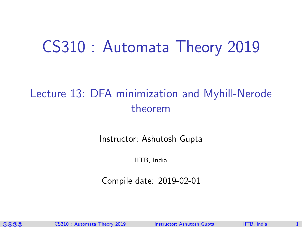# CS310 : Automata Theory 2019

### Lecture 13: DFA minimization and Myhill-Nerode theorem

Instructor: [Ashutosh Gupta](http://www.cse.iitb.ac.in/~akg/)

IITB, India

Compile date: 2019-02-01

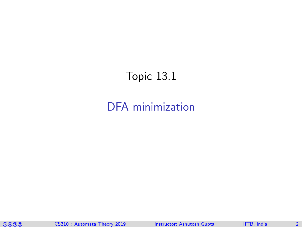### <span id="page-1-0"></span>Topic 13.1

#### [DFA minimization](#page-1-0)

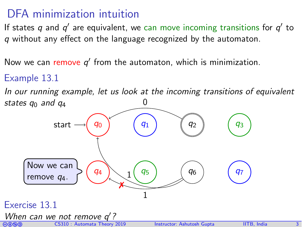#### DFA minimization intuition

If states  $q$  and  $q'$  are equivalent, we can move incoming transitions for  $q'$  to q without any effect on the language recognized by the automaton.

Now we can remove  $q'$  from the automaton, which is minimization.

#### Example 13.1

In our running example, let us look at the incoming transitions of equivalent states  $q_0$  and  $q_4$ 0

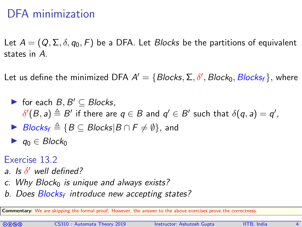#### DFA minimization

Let  $A = (Q, \Sigma, \delta, q_0, F)$  be a DFA. Let *Blocks* be the partitions of equivalent states in A.

Let us define the minimized DFA  $A' = \{ \textit{Blocks}, \Sigma, \delta', \textit{Block}_0, \textit{Blocks}_f \},$  where

- $\triangleright$  for each  $B, B' \subseteq$  Blocks, $\delta'(B,a) \triangleq B'$  if there are  $q \in B$  and  $q' \in B'$  such that  $\delta(q,a) = q',$
- $\triangleright$  Blocks<sub>f</sub>  $\triangleq$  {B ⊆ Blocks|B ∩ F  $\neq$   $\emptyset$ }, and
- $\blacktriangleright$   $q_0 \in Block_0$
- Exercise 13.2
- a. Is  $\delta'$  well defined?
- c. Why Block $<sub>0</sub>$  is unique and always exists?</sub>
- b. Does Blocks<sub>f</sub> introduce new accepting states?

Commentary: We are skipping the formal proof. However, the answer to the above exercises prove the correctness.

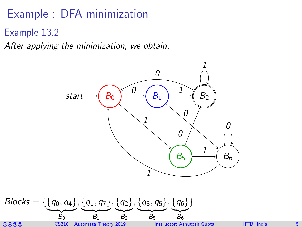### Example : DFA minimization

Example 13.2

After applying the minimization, we obtain.



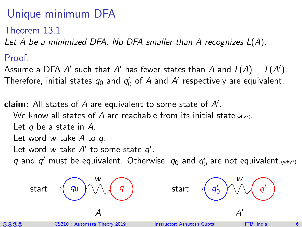### Unique minimum DFA

Theorem 13.1

Let A be a minimized DFA. No DFA smaller than A recognizes  $L(A)$ .

Proof.

Assume a DFA  $A'$  such that  $A'$  has fewer states than  $A$  and  $L(A) = L(A').$ Therefore, initial states  $q_0$  and  $q_0'$  of  $A$  and  $A'$  respectively are equivalent.

claim: All states of  $A$  are equivalent to some state of  $A'$ . We know all states of A are reachable from its initial state(why?). Let  $q$  be a state in  $A$ . Let word  $w$  take  $A$  to  $q$ . Let word w take  $A'$  to some state  $q'$ .

q and  $q'$  must be equivalent. Otherwise,  $q_0$  and  $q'_0$  are not equivalent. (why?)

$$
\text{start} \rightarrow \textcircled{q_0} \land \land \textcircled{q} \qquad \qquad \text{start} \rightarrow \textcircled{q}
$$

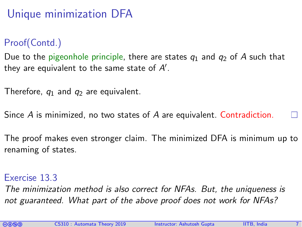## Unique minimization DFA

#### Proof(Contd.)

Due to the pigeonhole principle, there are states  $q_1$  and  $q_2$  of A such that they are equivalent to the same state of  $A^\prime$ .

Therefore,  $q_1$  and  $q_2$  are equivalent.

Since A is minimized, no two states of A are equivalent. Contradiction.

The proof makes even stronger claim. The minimized DFA is minimum up to renaming of states.

#### Exercise 13.3

The minimization method is also correct for NFAs. But, the uniqueness is not guaranteed. What part of the above proof does not work for NFAs?

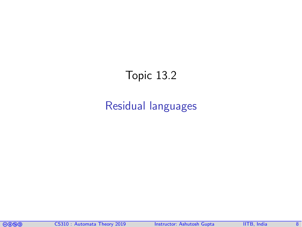### <span id="page-7-0"></span>Topic 13.2

#### [Residual languages](#page-7-0)

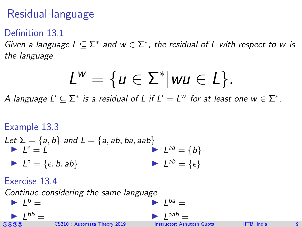### Residual language

#### Definition 13.1

Given a language  $L \subseteq \Sigma^*$  and  $w \in \Sigma^*$ , the residual of L with respect to w is the language

$$
L^w = \{u \in \Sigma^* | wu \in L\}.
$$

A language  $L' \subseteq \Sigma^*$  is a residual of L if  $L' = L^w$  for at least one  $w \in \Sigma^*.$ 

#### Example 13.3 Let  $\Sigma = \{a, b\}$  and  $L = \{a, ab, ba, aab\}$  $\blacktriangleright$   $\vec{L}^{\epsilon} = \vec{L}$  $L^a = \{\epsilon, b, ab\}$  $L^{aa} = \{b\}$  $\blacktriangleright$   $L^{ab} = \{\epsilon\}$ Exercise 13.4  $\alpha$  atinue considering the same la

[cbna](http://creativecommons.org/licenses/by-nc-sa/4.0/) CS310 : Automata Theory 2019 Instructor: [Ashutosh Gupta](http://www.cse.iitb.ac.in/~akg/) IITB, India 9 I L <sup>b</sup> = I L bb = I L ba = I L aab =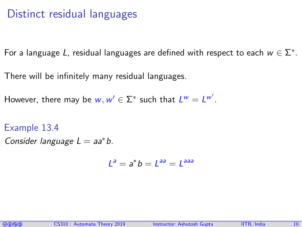#### Distinct residual languages

For a language L, residual languages are defined with respect to each  $w \in \Sigma^*$ .

There will be infinitely many residual languages.

However, there may be  $w, w' \in \Sigma^*$  such that  $L^w = L^{w'}$ .

Example 13.4

Consider language  $L = aa^*b$ .

 $L^a = a^*b = L^{aa} = L^{aaa}$ 

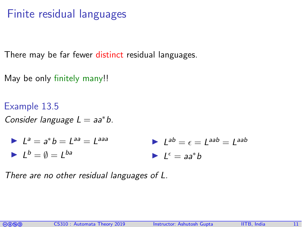#### Finite residual languages

There may be far fewer distinct residual languages.

- May be only finitely many!!
- Example 13.5 Consider language  $L = aa^*b$ .

$$
La = a*b = Laa = Laaa
$$
  
\n
$$
Lb = \emptyset = Lba
$$
  
\n
$$
Le = aa*b = Laab = Laab
$$

There are no other residual languages of L.

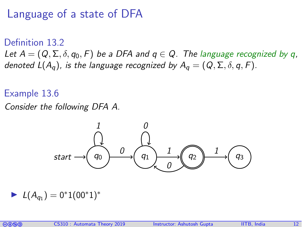#### Language of a state of DFA

Definition 13.2 Let  $A = (Q, \Sigma, \delta, q_0, F)$  be a DFA and  $q \in Q$ . The language recognized by q, denoted  $L(A_q)$ , is the language recognized by  $A_q = (Q, \Sigma, \delta, q, F)$ .

#### Example 13.6

Consider the following DFA A.



$$
\blacktriangleright \ \mathcal{L}(A_{q_1}) = 0^* 1 (00^* 1)^*
$$

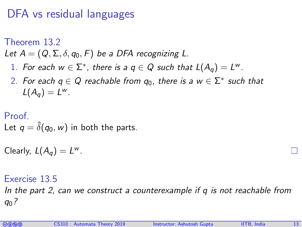#### DFA vs residual languages

Theorem 13.2

<span id="page-12-0"></span>Let  $A = (Q, \Sigma, \delta, q_0, F)$  be a DFA recognizing L.

- 1. For each  $w \in \Sigma^*$ , there is a  $q \in Q$  such that  $L(A_q) = L^w$ .
- 2. For each  $q \in Q$  reachable from  $q_0$ , there is a  $w \in \Sigma^*$  such that  $L(A_q) = L^w$ .

#### Proof.

Let  $q = \hat{\delta}(q_0, w)$  in both the parts.

Clearly,  $L(A_q) = L^w$ .

#### Exercise 13.5

In the part 2, can we construct a counterexample if q is not reachable from  $q_0$  ?

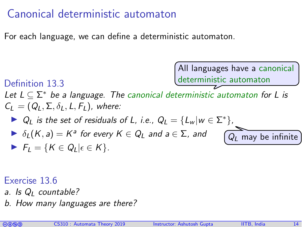#### Canonical deterministic automaton

For each language, we can define a deterministic automaton.



Exercise 13.6

- a. Is  $Q_l$  countable?
- b. How many languages are there?

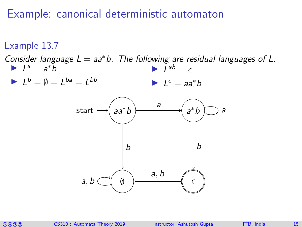#### Example: canonical deterministic automaton

Example 13.7 Consider language  $L = aa^*b$ . The following are residual languages of L.  $L^a = a^*b$  $L^b = \emptyset = L^{ba} = L^{bb}$  $L^{ab} = \epsilon$  $L^{\epsilon} = aa^*b$ start  $\longrightarrow (aa^*b)$  and an among  $a$ ∗b  $\emptyset$  )  $\longleftarrow$   $\epsilon$ a b a b a, b a, b

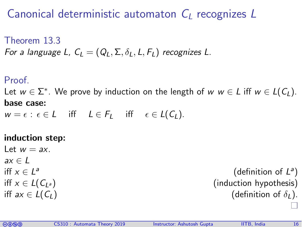#### Canonical deterministic automaton  $C_1$  recognizes L

Theorem 13.3 For a language L,  $C_1 = (Q_1, \Sigma, \delta_1, L, F_1)$  recognizes L.

#### Proof.

Let  $w \in \Sigma^*$ . We prove by induction on the length of  $w \ w \in L$  iff  $w \in L(C_L)$ . base case:

 $w = \epsilon : \epsilon \in L$  iff  $L \in F$ , iff  $\epsilon \in L(C_l)$ .

#### induction step:

Let  $w = ax$ .  $ax \in L$ iff  $x \in L^a$ 

(definition of  $L^a$ ) iff  $x \in L(C_{L^a})$  (induction hypothesis) iff  $ax \in L(C_L)$  (definition of  $\delta_L$ ).

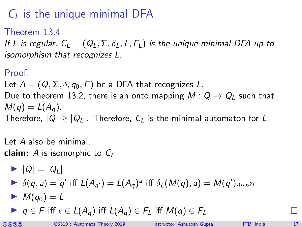## $C_l$  is the unique minimal DFA

#### Theorem 13.4

If L is regular,  $C_1 = (Q_1, \Sigma, \delta_1, L, F_1)$  is the unique minimal DFA up to isomorphism that recognizes L.

#### Proof.

Let  $A = (Q, \Sigma, \delta, q_0, F)$  be a DFA that recognizes L. Due to theorem [13.2,](#page-12-0) there is an onto mapping  $M: Q \to Q_1$  such that  $M(q) = L(A_q)$ . Therefore,  $|Q| \ge |Q_L|$ . Therefore,  $C_L$  is the minimal automaton for L.

Let A also be minimal. **claim:** A is isomorphic to  $C_1$ 

\n- $$
|Q| = |Q_L|
$$
\n- $\delta(q, a) = q'$  iff  $L(A_{a'}) = L(A_q)^a$  iff  $\delta_L(M(q), a) = M(q').(why?)$
\n- $M(q_0) = L$
\n

$$
\blacktriangleright q \in F \text{ iff } \epsilon \in L(A_q) \text{ iff } L(A_q) \in F_L \text{ iff } M(q) \in F_L.
$$

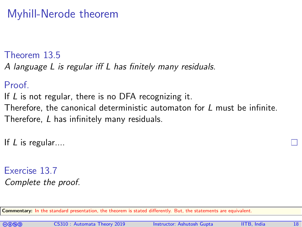#### Myhill-Nerode theorem

Theorem 13.5

A language L is regular iff L has finitely many residuals.

Proof.

If L is not regular, there is no DFA recognizing it. Therefore, the canonical deterministic automaton for L must be infinite. Therefore, L has infinitely many residuals.

If  $L$  is regular....

Exercise 13.7 Complete the proof.

Commentary: In the standard presentation, the theorem is stated differently. But, the statements are equivalent.

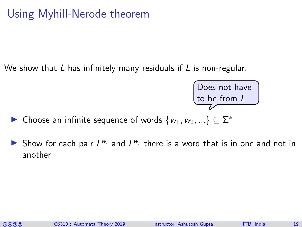### Using Myhill-Nerode theorem

We show that L has infinitely many residuals if L is non-regular.



► Choose an infinite sequence of words  $\{w_1, w_2, ...\} \subseteq \Sigma^*$ 

Show for each pair  $L^{w_i}$  and  $L^{w_j}$  there is a word that is in one and not in another

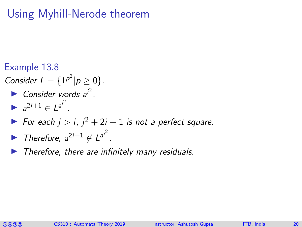### Using Myhill-Nerode theorem

- Example 13.8 Consider  $L = \{1^{p^2} | p \ge 0\}.$ Consider words  $a^{i^2}$ . •  $a^{2i+1} \in L^{a^{i^2}}$ .  $\triangleright$  For each  $j > i$ ,  $j^2 + 2i + 1$  is not a perfect square.
	- ▶ Therefore,  $a^{2i+1} \notin L^{a^{i^2}}$ .
	- Therefore, there are infinitely many residuals.